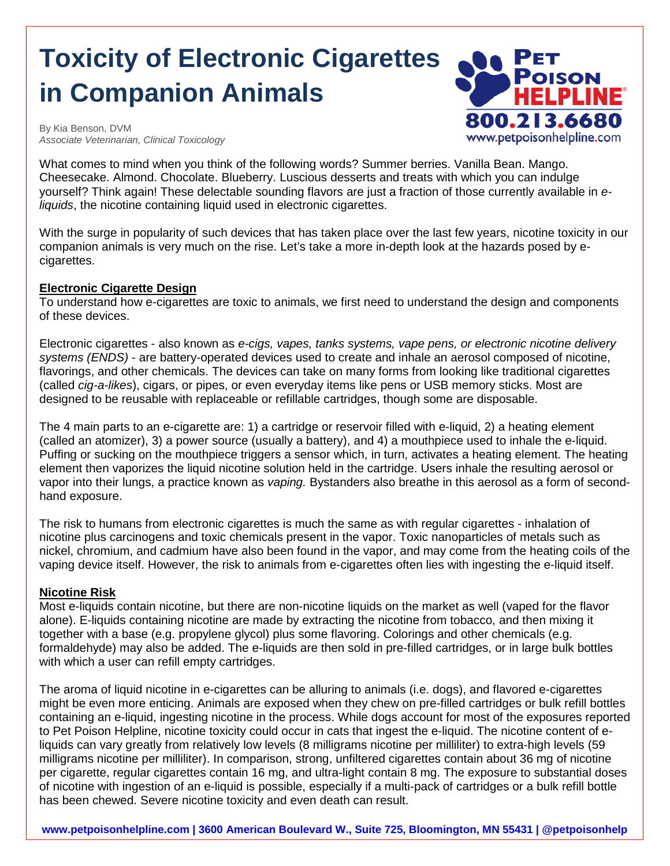# **Toxicity of Electronic Cigarettes 800 PET in Companion Animals**



By Kia Benson, DVM *Associate Veterinarian, Clinical Toxicology* 

What comes to mind when you think of the following words? Summer berries. Vanilla Bean. Mango. Cheesecake. Almond. Chocolate. Blueberry. Luscious desserts and treats with which you can indulge yourself? Think again! These delectable sounding flavors are just a fraction of those currently available in *eliquids*, the nicotine containing liquid used in electronic cigarettes.

With the surge in popularity of such devices that has taken place over the last few years, nicotine toxicity in our companion animals is very much on the rise. Let's take a more in-depth look at the hazards posed by ecigarettes.

### **Electronic Cigarette Design**

To understand how e-cigarettes are toxic to animals, we first need to understand the design and components of these devices.

Electronic cigarettes - also known as *e-cigs, vapes, tanks systems, vape pens, or electronic nicotine delivery systems (ENDS)* - are battery-operated devices used to create and inhale an aerosol composed of nicotine, flavorings, and other chemicals. The devices can take on many forms from looking like traditional cigarettes (called *cig-a-likes*), cigars, or pipes, or even everyday items like pens or USB memory sticks. Most are designed to be reusable with replaceable or refillable cartridges, though some are disposable.

The 4 main parts to an e-cigarette are: 1) a cartridge or reservoir filled with e-liquid, 2) a heating element (called an atomizer), 3) a power source (usually a battery), and 4) a mouthpiece used to inhale the e-liquid. Puffing or sucking on the mouthpiece triggers a sensor which, in turn, activates a heating element. The heating element then vaporizes the liquid nicotine solution held in the cartridge. Users inhale the resulting aerosol or vapor into their lungs, a practice known as *vaping.* Bystanders also breathe in this aerosol as a form of secondhand exposure.

The risk to humans from electronic cigarettes is much the same as with regular cigarettes - inhalation of nicotine plus carcinogens and toxic chemicals present in the vapor. Toxic nanoparticles of metals such as nickel, chromium, and cadmium have also been found in the vapor, and may come from the heating coils of the vaping device itself. However, the risk to animals from e-cigarettes often lies with ingesting the e-liquid itself.

## **Nicotine Risk**

Most e-liquids contain nicotine, but there are non-nicotine liquids on the market as well (vaped for the flavor alone). E-liquids containing nicotine are made by extracting the nicotine from tobacco, and then mixing it together with a base (e.g. propylene glycol) plus some flavoring. Colorings and other chemicals (e.g. formaldehyde) may also be added. The e-liquids are then sold in pre-filled cartridges, or in large bulk bottles with which a user can refill empty cartridges.

The aroma of liquid nicotine in e-cigarettes can be alluring to animals (i.e. dogs), and flavored e-cigarettes might be even more enticing. Animals are exposed when they chew on pre-filled cartridges or bulk refill bottles containing an e-liquid, ingesting nicotine in the process. While dogs account for most of the exposures reported to Pet Poison Helpline, nicotine toxicity could occur in cats that ingest the e-liquid. The nicotine content of eliquids can vary greatly from relatively low levels (8 milligrams nicotine per milliliter) to extra-high levels (59 milligrams nicotine per milliliter). In comparison, strong, unfiltered cigarettes contain about 36 mg of nicotine per cigarette, regular cigarettes contain 16 mg, and ultra-light contain 8 mg. The exposure to substantial doses of nicotine with ingestion of an e-liquid is possible, especially if a multi-pack of cartridges or a bulk refill bottle has been chewed. Severe nicotine toxicity and even death can result.

**www.petpoisonhelpline.com | 3600 American Boulevard W., Suite 725, Bloomington, MN 55431 | @petpoisonhelp**